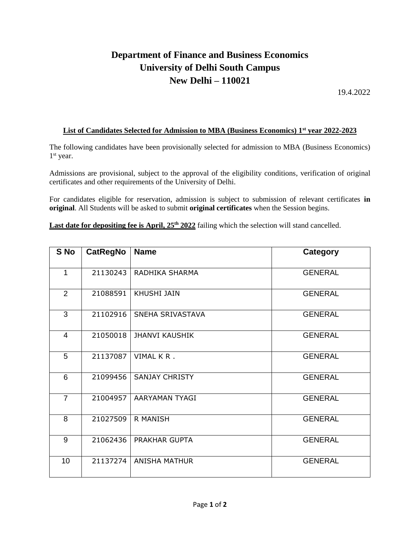## **Department of Finance and Business Economics University of Delhi South Campus New Delhi – 110021**

19.4.2022

## **List of Candidates Selected for Admission to MBA (Business Economics) 1st year 2022-2023**

The following candidates have been provisionally selected for admission to MBA (Business Economics) 1 st year.

Admissions are provisional, subject to the approval of the eligibility conditions, verification of original certificates and other requirements of the University of Delhi.

For candidates eligible for reservation, admission is subject to submission of relevant certificates **in original**. All Students will be asked to submit **original certificates** when the Session begins.

Last date for depositing fee is April,  $25<sup>th</sup> 2022$  failing which the selection will stand cancelled.

| S No           | <b>CatRegNo</b> | <b>Name</b>           | <b>Category</b> |
|----------------|-----------------|-----------------------|-----------------|
| $\mathbf{1}$   | 21130243        | RADHIKA SHARMA        | <b>GENERAL</b>  |
| $\overline{2}$ | 21088591        | <b>KHUSHI JAIN</b>    | <b>GENERAL</b>  |
| 3              | 21102916        | SNEHA SRIVASTAVA      | <b>GENERAL</b>  |
| 4              | 21050018        | <b>JHANVI KAUSHIK</b> | <b>GENERAL</b>  |
| 5              | 21137087        | VIMAL KR.             | <b>GENERAL</b>  |
| 6              | 21099456        | <b>SANJAY CHRISTY</b> | <b>GENERAL</b>  |
| $\overline{7}$ | 21004957        | AARYAMAN TYAGI        | <b>GENERAL</b>  |
| 8              | 21027509        | R MANISH              | <b>GENERAL</b>  |
| 9              | 21062436        | <b>PRAKHAR GUPTA</b>  | <b>GENERAL</b>  |
| 10             | 21137274        | <b>ANISHA MATHUR</b>  | <b>GENERAL</b>  |